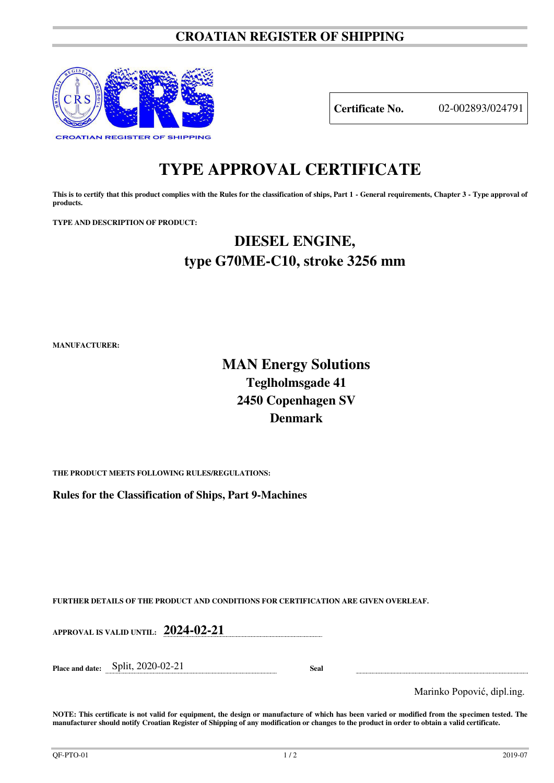### **CROATIAN REGISTER OF SHIPPING**



**Certificate No.** 02-002893/024791

# **TYPE APPROVAL CERTIFICATE**

This is to certify that this product complies with the Rules for the classification of ships, Part 1 - General requirements, Chapter 3 - Type approval of **products.** 

**TYPE AND DESCRIPTION OF PRODUCT:** 

## **DIESEL ENGINE, type G70ME-C10, stroke 3256 mm**

**MANUFACTURER:**

### **MAN Energy Solutions Teglholmsgade 41 2450 Copenhagen SV Denmark**

**THE PRODUCT MEETS FOLLOWING RULES/REGULATIONS:**

**Rules for the Classification of Ships, Part 9-Machines**

**FURTHER DETAILS OF THE PRODUCT AND CONDITIONS FOR CERTIFICATION ARE GIVEN OVERLEAF.**

**APPROVAL IS VALID UNTIL: 2024-02-21**

**Place and date:** Split, 2020-02-21 **Seal** 

Marinko Popović, dipl.ing.

**NOTE: This certificate is not valid for equipment, the design or manufacture of which has been varied or modified from the specimen tested. The manufacturer should notify Croatian Register of Shipping of any modification or changes to the product in order to obtain a valid certificate.**